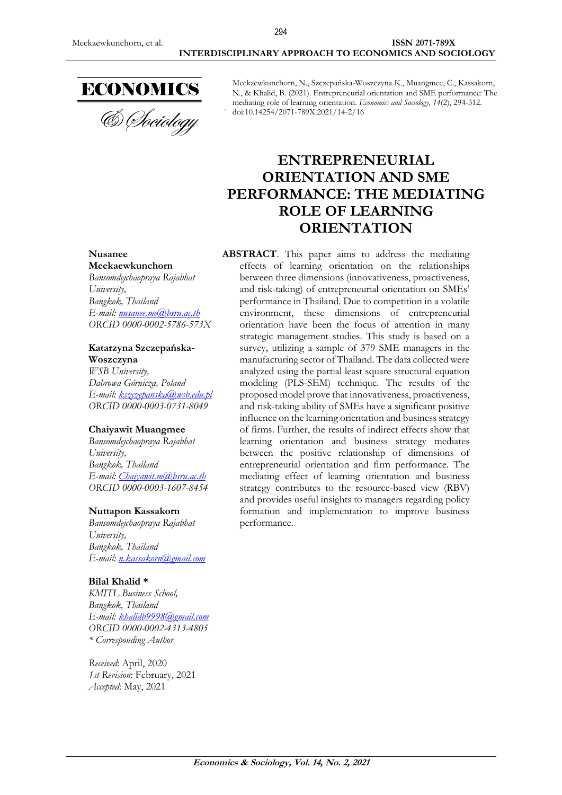

& Sociology

Meekaewkunchorn, N., Szczepańska-Woszczyna K., Muangmee, C., Kassakorn, N., & Khalid, B. (2021). Entrepreneurial orientation and SME performance: The mediating role of learning orientation. *Economics and Sociology*, *14*(2), 294-312. doi:10.14254/2071-789X.2021/14-2/16

# **ENTREPRENEURIAL ORIENTATION AND SME PERFORMANCE: THE MEDIATING ROLE OF LEARNING ORIENTATION**

**ABSTRACT**. This paper aims to address the mediating effects of learning orientation on the relationships between three dimensions (innovativeness, proactiveness, and risk-taking) of entrepreneurial orientation on SMEs' performance in Thailand. Due to competition in a volatile environment, these dimensions of entrepreneurial orientation have been the focus of attention in many strategic management studies. This study is based on a survey, utilizing a sample of 379 SME managers in the manufacturing sector of Thailand. The data collected were analyzed using the partial least square structural equation modeling (PLS-SEM) technique. The results of the proposed model prove that innovativeness, proactiveness, and risk-taking ability of SMEs have a significant positive influence on the learning orientation and business strategy of firms. Further, the results of indirect effects show that learning orientation and business strategy mediates between the positive relationship of dimensions of entrepreneurial orientation and firm performance. The mediating effect of learning orientation and business strategy contributes to the resource-based view (RBV) and provides useful insights to managers regarding policy formation and implementation to improve business performance.

#### **Nusanee Meekaewkunchorn**

*Bansomdejchaopraya Rajabhat University, Bangkok, Thailand E-mail: [nusanee.me@bsru.ac.th](mailto:nusanee.me@bsru.ac.th) ORCID 0000-0002-5786-573X*

#### **Katarzyna Szczepańska-Woszczyna**

*WSB University, Dabrowa Górnicza, Poland E-mail: [kszczepanska@wsb.edu.pl](mailto:kszczepanska@wsb.edu.pl) ORCID 0000-0003-0731-8049*

### **Chaiyawit Muangmee**

*Bansomdejchaopraya Rajabhat University, Bangkok, Thailand E-mail: [Chaiyawit.m@bsru.ac.th](mailto:Chaiyawit.m@bsru.ac.th) ORCID 0000-0003-1607-8454*

### **Nuttapon Kassakorn**

*Bansomdejchaopraya Rajabhat University, Bangkok, Thailand E-mail: [n.kassakorn@gmail.com](mailto:n.kassakorn@gmail.com)*

### **Bilal Khalid \***

*KMITL Business School, Bangkok, Thailand E-mail: [khalidb9998@gmail.com](mailto:khalidb9998@gmail.com) ORCID 0000-0002-4313-4805 \* Corresponding Author*

*Received*: April, 2020 *1st Revision*: February, 2021 *Accepted*: May, 2021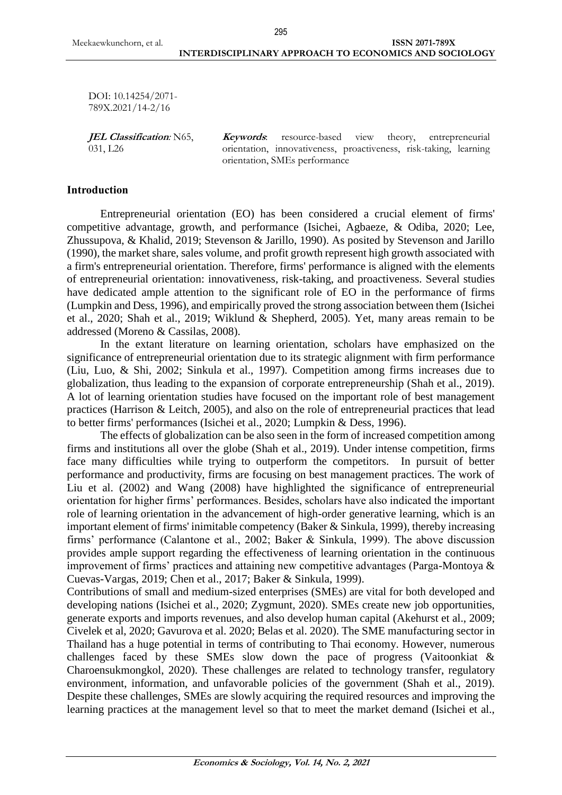DOI: 10.14254/2071- 789X.2021/14-2/16

**JEL Classification***:* N65, 031, L26

**Keywords**: resource-based view theory, entrepreneurial orientation, innovativeness, proactiveness, risk-taking, learning orientation, SMEs performance

### **Introduction**

Entrepreneurial orientation (EO) has been considered a crucial element of firms' competitive advantage, growth, and performance (Isichei, Agbaeze, & Odiba, 2020; Lee, Zhussupova, & Khalid, 2019; Stevenson & Jarillo, 1990). As posited by Stevenson and Jarillo (1990), the market share, sales volume, and profit growth represent high growth associated with a firm's entrepreneurial orientation. Therefore, firms' performance is aligned with the elements of entrepreneurial orientation: innovativeness, risk-taking, and proactiveness. Several studies have dedicated ample attention to the significant role of EO in the performance of firms (Lumpkin and Dess, 1996), and empirically proved the strong association between them (Isichei et al., 2020; Shah et al., 2019; Wiklund & Shepherd, 2005). Yet, many areas remain to be addressed (Moreno & Cassilas, 2008).

In the extant literature on learning orientation, scholars have emphasized on the significance of entrepreneurial orientation due to its strategic alignment with firm performance (Liu, Luo, & Shi, 2002; Sinkula et al., 1997). Competition among firms increases due to globalization, thus leading to the expansion of corporate entrepreneurship (Shah et al., 2019). A lot of learning orientation studies have focused on the important role of best management practices (Harrison & Leitch, 2005), and also on the role of entrepreneurial practices that lead to better firms' performances (Isichei et al., 2020; Lumpkin & Dess, 1996).

The effects of globalization can be also seen in the form of increased competition among firms and institutions all over the globe (Shah et al., 2019). Under intense competition, firms face many difficulties while trying to outperform the competitors. In pursuit of better performance and productivity, firms are focusing on best management practices. The work of Liu et al. (2002) and Wang (2008) have highlighted the significance of entrepreneurial orientation for higher firms' performances. Besides, scholars have also indicated the important role of learning orientation in the advancement of high-order generative learning, which is an important element of firms' inimitable competency (Baker & Sinkula, 1999), thereby increasing firms' performance (Calantone et al., 2002; Baker & Sinkula, 1999). The above discussion provides ample support regarding the effectiveness of learning orientation in the continuous improvement of firms' practices and attaining new competitive advantages (Parga-Montoya & Cuevas-Vargas, 2019; Chen et al., 2017; Baker & Sinkula, 1999).

Contributions of small and medium-sized enterprises (SMEs) are vital for both developed and developing nations (Isichei et al., 2020; Zygmunt, 2020). SMEs create new job opportunities, generate exports and imports revenues, and also develop human capital (Akehurst et al., 2009; Civelek et al, 2020; Gavurova et al. 2020; Belas et al. 2020). The SME manufacturing sector in Thailand has a huge potential in terms of contributing to Thai economy. However, numerous challenges faced by these SMEs slow down the pace of progress (Vaitoonkiat & Charoensukmongkol, 2020). These challenges are related to technology transfer, regulatory environment, information, and unfavorable policies of the government (Shah et al., 2019). Despite these challenges, SMEs are slowly acquiring the required resources and improving the learning practices at the management level so that to meet the market demand (Isichei et al.,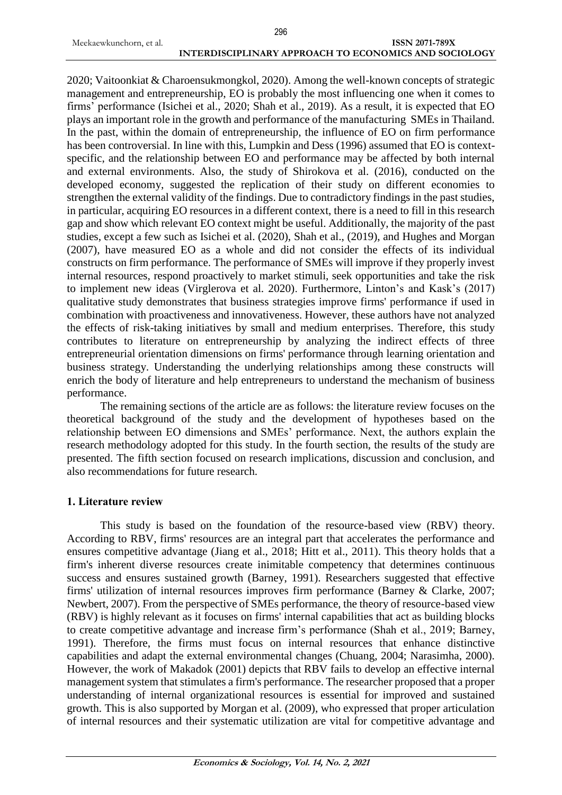2020; Vaitoonkiat & Charoensukmongkol, 2020). Among the well-known concepts of strategic management and entrepreneurship, EO is probably the most influencing one when it comes to firms' performance (Isichei et al., 2020; Shah et al., 2019). As a result, it is expected that EO plays an important role in the growth and performance of the manufacturing SMEs in Thailand. In the past, within the domain of entrepreneurship, the influence of EO on firm performance has been controversial. In line with this, Lumpkin and Dess (1996) assumed that EO is contextspecific, and the relationship between EO and performance may be affected by both internal and external environments. Also, the study of Shirokova et al. (2016), conducted on the developed economy, suggested the replication of their study on different economies to strengthen the external validity of the findings. Due to contradictory findings in the past studies, in particular, acquiring EO resources in a different context, there is a need to fill in this research gap and show which relevant EO context might be useful. Additionally, the majority of the past studies, except a few such as Isichei et al. (2020), Shah et al., (2019), and Hughes and Morgan (2007), have measured EO as a whole and did not consider the effects of its individual constructs on firm performance. The performance of SMEs will improve if they properly invest internal resources, respond proactively to market stimuli, seek opportunities and take the risk to implement new ideas (Virglerova et al. 2020). Furthermore, Linton's and Kask's (2017) qualitative study demonstrates that business strategies improve firms' performance if used in combination with proactiveness and innovativeness. However, these authors have not analyzed the effects of risk-taking initiatives by small and medium enterprises. Therefore, this study contributes to literature on entrepreneurship by analyzing the indirect effects of three entrepreneurial orientation dimensions on firms' performance through learning orientation and business strategy. Understanding the underlying relationships among these constructs will enrich the body of literature and help entrepreneurs to understand the mechanism of business performance.

The remaining sections of the article are as follows: the literature review focuses on the theoretical background of the study and the development of hypotheses based on the relationship between EO dimensions and SMEs' performance. Next, the authors explain the research methodology adopted for this study. In the fourth section, the results of the study are presented. The fifth section focused on research implications, discussion and conclusion, and also recommendations for future research.

## **1. Literature review**

This study is based on the foundation of the resource-based view (RBV) theory. According to RBV, firms' resources are an integral part that accelerates the performance and ensures competitive advantage (Jiang et al., 2018; Hitt et al., 2011). This theory holds that a firm's inherent diverse resources create inimitable competency that determines continuous success and ensures sustained growth (Barney, 1991). Researchers suggested that effective firms' utilization of internal resources improves firm performance (Barney & Clarke, 2007; Newbert, 2007). From the perspective of SMEs performance, the theory of resource-based view (RBV) is highly relevant as it focuses on firms' internal capabilities that act as building blocks to create competitive advantage and increase firm's performance (Shah et al., 2019; Barney, 1991). Therefore, the firms must focus on internal resources that enhance distinctive capabilities and adapt the external environmental changes (Chuang, 2004; Narasimha, 2000). However, the work of Makadok (2001) depicts that RBV fails to develop an effective internal management system that stimulates a firm's performance. The researcher proposed that a proper understanding of internal organizational resources is essential for improved and sustained growth. This is also supported by Morgan et al. (2009), who expressed that proper articulation of internal resources and their systematic utilization are vital for competitive advantage and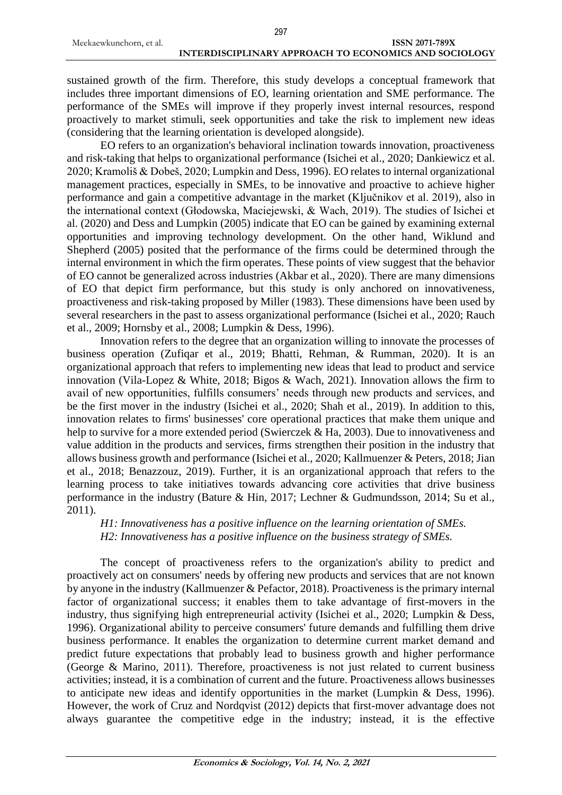sustained growth of the firm. Therefore, this study develops a conceptual framework that includes three important dimensions of EO, learning orientation and SME performance. The performance of the SMEs will improve if they properly invest internal resources, respond proactively to market stimuli, seek opportunities and take the risk to implement new ideas (considering that the learning orientation is developed alongside).

EO refers to an organization's behavioral inclination towards innovation, proactiveness and risk-taking that helps to organizational performance (Isichei et al., 2020; Dankiewicz et al. 2020; Kramoliš & Dobeš, 2020; Lumpkin and Dess, 1996). EO relates to internal organizational management practices, especially in SMEs, to be innovative and proactive to achieve higher performance and gain a competitive advantage in the market (Ključnikov et al. 2019), also in the international context (Głodowska, Maciejewski, & Wach, 2019). The studies of Isichei et al. (2020) and Dess and Lumpkin (2005) indicate that EO can be gained by examining external opportunities and improving technology development. On the other hand, Wiklund and Shepherd (2005) posited that the performance of the firms could be determined through the internal environment in which the firm operates. These points of view suggest that the behavior of EO cannot be generalized across industries (Akbar et al., 2020). There are many dimensions of EO that depict firm performance, but this study is only anchored on innovativeness, proactiveness and risk-taking proposed by Miller (1983). These dimensions have been used by several researchers in the past to assess organizational performance (Isichei et al., 2020; Rauch et al., 2009; Hornsby et al., 2008; Lumpkin & Dess, 1996).

Innovation refers to the degree that an organization willing to innovate the processes of business operation (Zufiqar et al., 2019; Bhatti, Rehman, & Rumman, 2020). It is an organizational approach that refers to implementing new ideas that lead to product and service innovation (Vila-Lopez & White, 2018; Bigos & Wach, 2021). Innovation allows the firm to avail of new opportunities, fulfills consumers' needs through new products and services, and be the first mover in the industry (Isichei et al., 2020; Shah et al., 2019). In addition to this, innovation relates to firms' businesses' core operational practices that make them unique and help to survive for a more extended period (Swierczek & Ha, 2003). Due to innovativeness and value addition in the products and services, firms strengthen their position in the industry that allows business growth and performance (Isichei et al., 2020; Kallmuenzer & Peters, 2018; Jian et al., 2018; Benazzouz, 2019). Further, it is an organizational approach that refers to the learning process to take initiatives towards advancing core activities that drive business performance in the industry (Bature & Hin, 2017; Lechner & Gudmundsson, 2014; Su et al., 2011).

*H1: Innovativeness has a positive influence on the learning orientation of SMEs. H2: Innovativeness has a positive influence on the business strategy of SMEs.*

The concept of proactiveness refers to the organization's ability to predict and proactively act on consumers' needs by offering new products and services that are not known by anyone in the industry (Kallmuenzer & Pefactor, 2018). Proactiveness is the primary internal factor of organizational success; it enables them to take advantage of first-movers in the industry, thus signifying high entrepreneurial activity (Isichei et al., 2020; Lumpkin & Dess, 1996). Organizational ability to perceive consumers' future demands and fulfilling them drive business performance. It enables the organization to determine current market demand and predict future expectations that probably lead to business growth and higher performance (George & Marino, 2011). Therefore, proactiveness is not just related to current business activities; instead, it is a combination of current and the future. Proactiveness allows businesses to anticipate new ideas and identify opportunities in the market (Lumpkin & Dess, 1996). However, the work of Cruz and Nordqvist (2012) depicts that first-mover advantage does not always guarantee the competitive edge in the industry; instead, it is the effective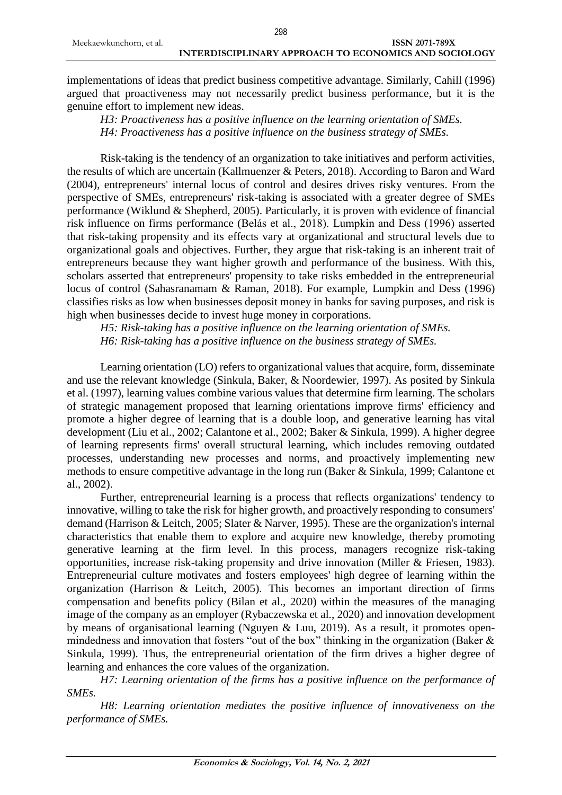implementations of ideas that predict business competitive advantage. Similarly, Cahill (1996) argued that proactiveness may not necessarily predict business performance, but it is the genuine effort to implement new ideas.

*H3: Proactiveness has a positive influence on the learning orientation of SMEs. H4: Proactiveness has a positive influence on the business strategy of SMEs.*

Risk-taking is the tendency of an organization to take initiatives and perform activities, the results of which are uncertain (Kallmuenzer & Peters, 2018). According to Baron and Ward (2004), entrepreneurs' internal locus of control and desires drives risky ventures. From the perspective of SMEs, entrepreneurs' risk-taking is associated with a greater degree of SMEs performance (Wiklund & Shepherd, 2005). Particularly, it is proven with evidence of financial risk influence on firms performance (Belás et al., 2018). Lumpkin and Dess (1996) asserted that risk-taking propensity and its effects vary at organizational and structural levels due to organizational goals and objectives. Further, they argue that risk-taking is an inherent trait of entrepreneurs because they want higher growth and performance of the business. With this, scholars asserted that entrepreneurs' propensity to take risks embedded in the entrepreneurial locus of control (Sahasranamam & Raman, 2018). For example, Lumpkin and Dess (1996) classifies risks as low when businesses deposit money in banks for saving purposes, and risk is high when businesses decide to invest huge money in corporations.

*H5: Risk-taking has a positive influence on the learning orientation of SMEs. H6: Risk-taking has a positive influence on the business strategy of SMEs.*

Learning orientation (LO) refers to organizational values that acquire, form, disseminate and use the relevant knowledge (Sinkula, Baker, & Noordewier, 1997). As posited by Sinkula et al. (1997), learning values combine various values that determine firm learning. The scholars of strategic management proposed that learning orientations improve firms' efficiency and promote a higher degree of learning that is a double loop, and generative learning has vital development (Liu et al., 2002; Calantone et al., 2002; Baker & Sinkula, 1999). A higher degree of learning represents firms' overall structural learning, which includes removing outdated processes, understanding new processes and norms, and proactively implementing new methods to ensure competitive advantage in the long run (Baker & Sinkula, 1999; Calantone et al., 2002).

Further, entrepreneurial learning is a process that reflects organizations' tendency to innovative, willing to take the risk for higher growth, and proactively responding to consumers' demand (Harrison & Leitch, 2005; Slater & Narver, 1995). These are the organization's internal characteristics that enable them to explore and acquire new knowledge, thereby promoting generative learning at the firm level. In this process, managers recognize risk-taking opportunities, increase risk-taking propensity and drive innovation (Miller & Friesen, 1983). Entrepreneurial culture motivates and fosters employees' high degree of learning within the organization (Harrison & Leitch, 2005). This becomes an important direction of firms compensation and benefits policy (Bilan et al., 2020) within the measures of the managing image of the company as an employer (Rybaczewska et al., 2020) and innovation development by means of organisational learning (Nguyen & Luu, 2019). As a result, it promotes openmindedness and innovation that fosters "out of the box" thinking in the organization (Baker & Sinkula, 1999). Thus, the entrepreneurial orientation of the firm drives a higher degree of learning and enhances the core values of the organization.

*H7: Learning orientation of the firms has a positive influence on the performance of SMEs.*

*H8: Learning orientation mediates the positive influence of innovativeness on the performance of SMEs.*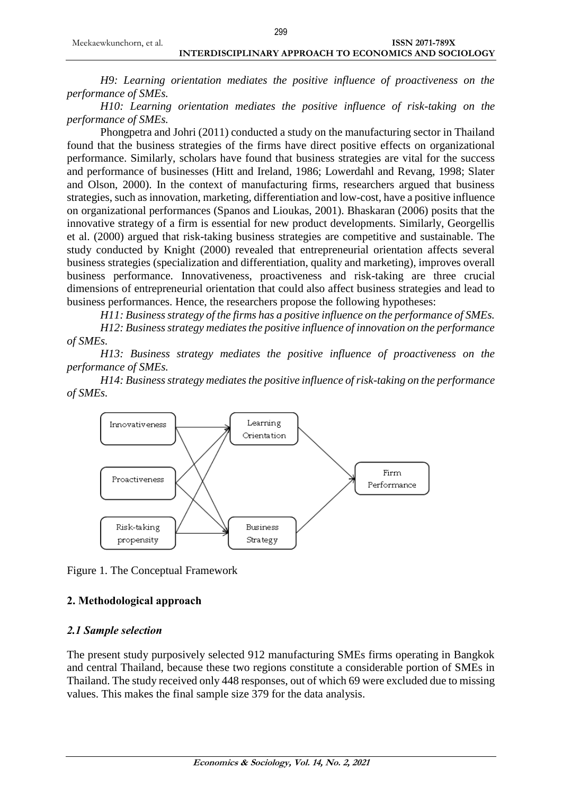#### Meekaewkunchorn, et al. **ISSN 2071-789X** 299

## **INTERDISCIPLINARY APPROACH TO ECONOMICS AND SOCIOLOGY**

*H9: Learning orientation mediates the positive influence of proactiveness on the performance of SMEs.*

*H10: Learning orientation mediates the positive influence of risk-taking on the performance of SMEs.*

Phongpetra and Johri (2011) conducted a study on the manufacturing sector in Thailand found that the business strategies of the firms have direct positive effects on organizational performance. Similarly, scholars have found that business strategies are vital for the success and performance of businesses (Hitt and Ireland, 1986; Lowerdahl and Revang, 1998; Slater and Olson, 2000). In the context of manufacturing firms, researchers argued that business strategies, such as innovation, marketing, differentiation and low-cost, have a positive influence on organizational performances (Spanos and Lioukas, 2001). Bhaskaran (2006) posits that the innovative strategy of a firm is essential for new product developments. Similarly, Georgellis et al. (2000) argued that risk-taking business strategies are competitive and sustainable. The study conducted by Knight (2000) revealed that entrepreneurial orientation affects several business strategies (specialization and differentiation, quality and marketing), improves overall business performance. Innovativeness, proactiveness and risk-taking are three crucial dimensions of entrepreneurial orientation that could also affect business strategies and lead to business performances. Hence, the researchers propose the following hypotheses:

*H11: Business strategy of the firms has a positive influence on the performance of SMEs.*

*H12: Business strategy mediates the positive influence of innovation on the performance of SMEs.* 

*H13: Business strategy mediates the positive influence of proactiveness on the performance of SMEs.*

*H14: Business strategy mediates the positive influence of risk-taking on the performance of SMEs.* 



Figure 1. The Conceptual Framework

### **2. Methodological approach**

### *2.1 Sample selection*

The present study purposively selected 912 manufacturing SMEs firms operating in Bangkok and central Thailand, because these two regions constitute a considerable portion of SMEs in Thailand. The study received only 448 responses, out of which 69 were excluded due to missing values. This makes the final sample size 379 for the data analysis.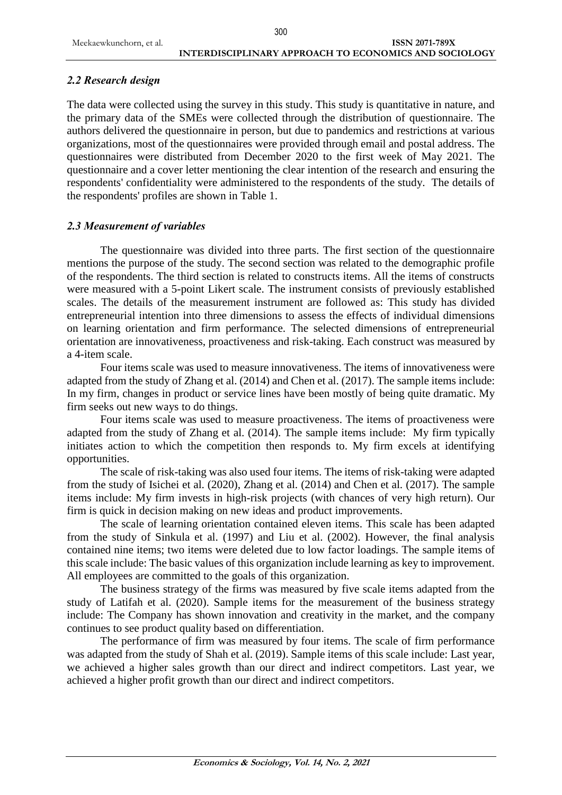## *2.2 Research design*

The data were collected using the survey in this study. This study is quantitative in nature, and the primary data of the SMEs were collected through the distribution of questionnaire. The authors delivered the questionnaire in person, but due to pandemics and restrictions at various organizations, most of the questionnaires were provided through email and postal address. The questionnaires were distributed from December 2020 to the first week of May 2021. The questionnaire and a cover letter mentioning the clear intention of the research and ensuring the respondents' confidentiality were administered to the respondents of the study. The details of the respondents' profiles are shown in Table 1.

## *2.3 Measurement of variables*

The questionnaire was divided into three parts. The first section of the questionnaire mentions the purpose of the study. The second section was related to the demographic profile of the respondents. The third section is related to constructs items. All the items of constructs were measured with a 5-point Likert scale. The instrument consists of previously established scales. The details of the measurement instrument are followed as: This study has divided entrepreneurial intention into three dimensions to assess the effects of individual dimensions on learning orientation and firm performance. The selected dimensions of entrepreneurial orientation are innovativeness, proactiveness and risk-taking. Each construct was measured by a 4-item scale.

Four items scale was used to measure innovativeness. The items of innovativeness were adapted from the study of Zhang et al. (2014) and Chen et al. (2017). The sample items include: In my firm, changes in product or service lines have been mostly of being quite dramatic. My firm seeks out new ways to do things.

Four items scale was used to measure proactiveness. The items of proactiveness were adapted from the study of Zhang et al. (2014). The sample items include: My firm typically initiates action to which the competition then responds to. My firm excels at identifying opportunities.

The scale of risk-taking was also used four items. The items of risk-taking were adapted from the study of Isichei et al. (2020), Zhang et al. (2014) and Chen et al. (2017). The sample items include: My firm invests in high-risk projects (with chances of very high return). Our firm is quick in decision making on new ideas and product improvements.

The scale of learning orientation contained eleven items. This scale has been adapted from the study of Sinkula et al. (1997) and Liu et al. (2002). However, the final analysis contained nine items; two items were deleted due to low factor loadings. The sample items of this scale include: The basic values of this organization include learning as key to improvement. All employees are committed to the goals of this organization.

The business strategy of the firms was measured by five scale items adapted from the study of Latifah et al. (2020). Sample items for the measurement of the business strategy include: The Company has shown innovation and creativity in the market, and the company continues to see product quality based on differentiation.

The performance of firm was measured by four items. The scale of firm performance was adapted from the study of Shah et al. (2019). Sample items of this scale include: Last year, we achieved a higher sales growth than our direct and indirect competitors. Last year, we achieved a higher profit growth than our direct and indirect competitors.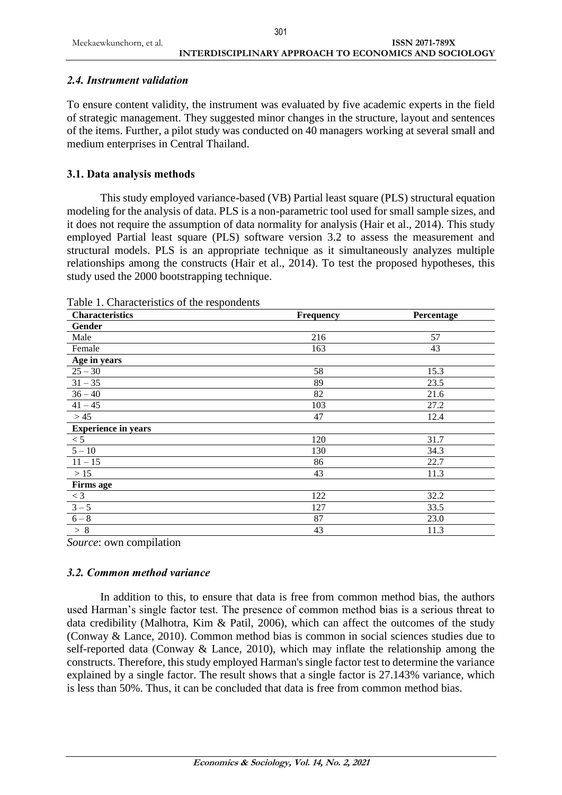## *2.4. Instrument validation*

To ensure content validity, the instrument was evaluated by five academic experts in the field of strategic management. They suggested minor changes in the structure, layout and sentences of the items. Further, a pilot study was conducted on 40 managers working at several small and medium enterprises in Central Thailand.

## **3.1. Data analysis methods**

This study employed variance-based (VB) Partial least square (PLS) structural equation modeling for the analysis of data. PLS is a non-parametric tool used for small sample sizes, and it does not require the assumption of data normality for analysis (Hair et al., 2014). This study employed Partial least square (PLS) software version 3.2 to assess the measurement and structural models. PLS is an appropriate technique as it simultaneously analyzes multiple relationships among the constructs (Hair et al., 2014). To test the proposed hypotheses, this study used the 2000 bootstrapping technique.

| <b>Characteristics</b>     | <b>Frequency</b> | Percentage |  |  |
|----------------------------|------------------|------------|--|--|
| Gender                     |                  |            |  |  |
| Male                       | 216              | 57         |  |  |
| Female                     | 163              | 43         |  |  |
| Age in years               |                  |            |  |  |
| $25 - 30$                  | 58               | 15.3       |  |  |
| $31 - 35$                  | 89               | 23.5       |  |  |
| $36 - 40$                  | 82               | 21.6       |  |  |
| $41 - 45$                  | 103              | 27.2       |  |  |
| >45                        | 47               | 12.4       |  |  |
| <b>Experience in years</b> |                  |            |  |  |
| < 5                        | 120              | 31.7       |  |  |
| $5 - 10$                   | 130              | 34.3       |  |  |
| $11 - 15$                  | 86               | 22.7       |  |  |
| $>15$                      | 43               | 11.3       |  |  |
| <b>Firms age</b>           |                  |            |  |  |
| $< 3\,$                    | 122              | 32.2       |  |  |
| $3 - 5$                    | 127              | 33.5       |  |  |
| $6 - 8$                    | 87               | 23.0       |  |  |
| > 8                        | 43               | 11.3       |  |  |

Table 1. Characteristics of the respondents

*Source*: own compilation

## *3.2. Common method variance*

In addition to this, to ensure that data is free from common method bias, the authors used Harman's single factor test. The presence of common method bias is a serious threat to data credibility (Malhotra, Kim & Patil, 2006), which can affect the outcomes of the study (Conway & Lance, 2010). Common method bias is common in social sciences studies due to self-reported data (Conway  $\&$  Lance, 2010), which may inflate the relationship among the constructs. Therefore, this study employed Harman's single factor test to determine the variance explained by a single factor. The result shows that a single factor is 27.143% variance, which is less than 50%. Thus, it can be concluded that data is free from common method bias.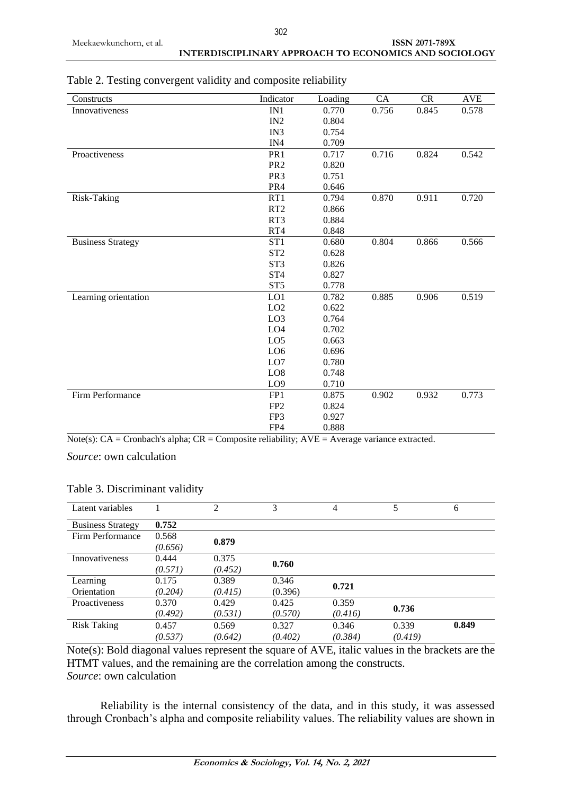# **INTERDISCIPLINARY APPROACH TO ECONOMICS AND SOCIOLOGY**

| Constructs               | Indicator       | Loading | <b>CA</b> | <b>CR</b> | <b>AVE</b> |
|--------------------------|-----------------|---------|-----------|-----------|------------|
| Innovativeness           | IN1             | 0.770   | 0.756     | 0.845     | 0.578      |
|                          | IN2             | 0.804   |           |           |            |
|                          | IN3             | 0.754   |           |           |            |
|                          | IN4             | 0.709   |           |           |            |
| Proactiveness            | PR <sub>1</sub> | 0.717   | 0.716     | 0.824     | 0.542      |
|                          | PR <sub>2</sub> | 0.820   |           |           |            |
|                          | PR <sub>3</sub> | 0.751   |           |           |            |
|                          | PR4             | 0.646   |           |           |            |
| Risk-Taking              | RT1             | 0.794   | 0.870     | 0.911     | 0.720      |
|                          | RT <sub>2</sub> | 0.866   |           |           |            |
|                          | RT3             | 0.884   |           |           |            |
|                          | RT4             | 0.848   |           |           |            |
| <b>Business Strategy</b> | ST <sub>1</sub> | 0.680   | 0.804     | 0.866     | 0.566      |
|                          | ST <sub>2</sub> | 0.628   |           |           |            |
|                          | ST <sub>3</sub> | 0.826   |           |           |            |
|                          | ST <sub>4</sub> | 0.827   |           |           |            |
|                          | ST <sub>5</sub> | 0.778   |           |           |            |
| Learning orientation     | LO1             | 0.782   | 0.885     | 0.906     | 0.519      |
|                          | LO2             | 0.622   |           |           |            |
|                          | LO <sub>3</sub> | 0.764   |           |           |            |
|                          | LO <sub>4</sub> | 0.702   |           |           |            |
|                          | LO <sub>5</sub> | 0.663   |           |           |            |
|                          | LO <sub>6</sub> | 0.696   |           |           |            |
|                          | LO7             | 0.780   |           |           |            |
|                          | LO <sub>8</sub> | 0.748   |           |           |            |
|                          | LO <sub>9</sub> | 0.710   |           |           |            |
| Firm Performance         | FP <sub>1</sub> | 0.875   | 0.902     | 0.932     | 0.773      |
|                          | FP <sub>2</sub> | 0.824   |           |           |            |
|                          | FP3             | 0.927   |           |           |            |
|                          | FP4             | 0.888   |           |           |            |

Table 2. Testing convergent validity and composite reliability

Note(s):  $CA =$ Cronbach's alpha;  $CR =$ Composite reliability;  $AVE =$ Average variance extracted.

*Source*: own calculation

| Latent variables         |         | 2       | 3       | $\overline{4}$ | 5       | 6     |
|--------------------------|---------|---------|---------|----------------|---------|-------|
| <b>Business Strategy</b> | 0.752   |         |         |                |         |       |
| Firm Performance         | 0.568   | 0.879   |         |                |         |       |
|                          | (0.656) |         |         |                |         |       |
| <b>Innovativeness</b>    | 0.444   | 0.375   | 0.760   |                |         |       |
|                          | (0.571) | (0.452) |         |                |         |       |
| Learning                 | 0.175   | 0.389   | 0.346   | 0.721          |         |       |
| Orientation              | (0.204) | (0.415) | (0.396) |                |         |       |
| Proactiveness            | 0.370   | 0.429   | 0.425   | 0.359          |         |       |
|                          | (0.492) | (0.531) | (0.570) | (0.416)        | 0.736   |       |
| <b>Risk Taking</b>       | 0.457   | 0.569   | 0.327   | 0.346          | 0.339   | 0.849 |
|                          | (0.537) | (0.642) | (0.402) | (0.384)        | (0.419) |       |

Table 3. Discriminant validity

Note(s): Bold diagonal values represent the square of AVE, italic values in the brackets are the HTMT values, and the remaining are the correlation among the constructs. *Source*: own calculation

Reliability is the internal consistency of the data, and in this study, it was assessed through Cronbach's alpha and composite reliability values. The reliability values are shown in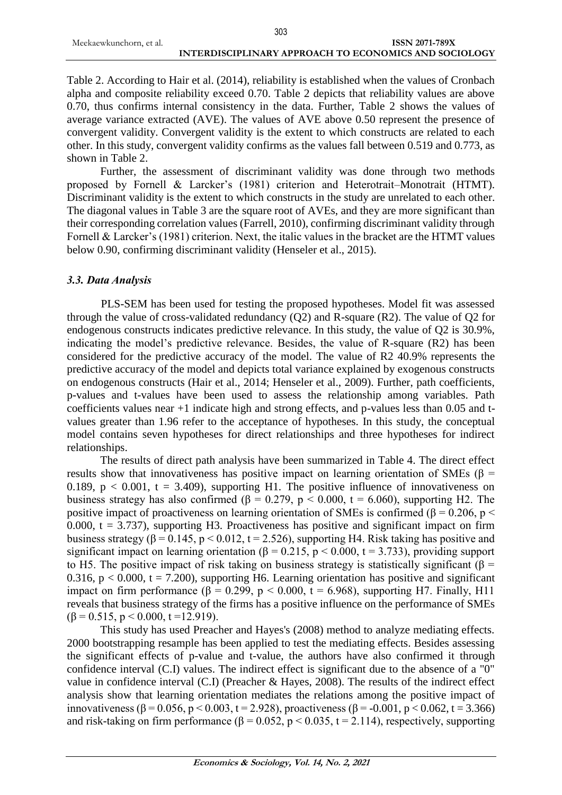Table 2. According to Hair et al. (2014), reliability is established when the values of Cronbach alpha and composite reliability exceed 0.70. Table 2 depicts that reliability values are above 0.70, thus confirms internal consistency in the data. Further, Table 2 shows the values of average variance extracted (AVE). The values of AVE above 0.50 represent the presence of convergent validity. Convergent validity is the extent to which constructs are related to each other. In this study, convergent validity confirms as the values fall between 0.519 and 0.773, as shown in Table 2.

Further, the assessment of discriminant validity was done through two methods proposed by Fornell & Larcker's (1981) criterion and Heterotrait–Monotrait (HTMT). Discriminant validity is the extent to which constructs in the study are unrelated to each other. The diagonal values in Table 3 are the square root of AVEs, and they are more significant than their corresponding correlation values (Farrell, 2010), confirming discriminant validity through Fornell & Larcker's (1981) criterion. Next, the italic values in the bracket are the HTMT values below 0.90, confirming discriminant validity (Henseler et al., 2015).

## *3.3. Data Analysis*

PLS-SEM has been used for testing the proposed hypotheses. Model fit was assessed through the value of cross-validated redundancy (Q2) and R-square (R2). The value of Q2 for endogenous constructs indicates predictive relevance. In this study, the value of Q2 is 30.9%, indicating the model's predictive relevance. Besides, the value of R-square (R2) has been considered for the predictive accuracy of the model. The value of R2 40.9% represents the predictive accuracy of the model and depicts total variance explained by exogenous constructs on endogenous constructs (Hair et al., 2014; Henseler et al., 2009). Further, path coefficients, p-values and t-values have been used to assess the relationship among variables. Path coefficients values near +1 indicate high and strong effects, and p-values less than 0.05 and tvalues greater than 1.96 refer to the acceptance of hypotheses. In this study, the conceptual model contains seven hypotheses for direct relationships and three hypotheses for indirect relationships.

The results of direct path analysis have been summarized in Table 4. The direct effect results show that innovativeness has positive impact on learning orientation of SMEs ( $\beta$  = 0.189,  $p < 0.001$ ,  $t = 3.409$ ), supporting H1. The positive influence of innovativeness on business strategy has also confirmed ( $\beta = 0.279$ ,  $p < 0.000$ ,  $t = 6.060$ ), supporting H2. The positive impact of proactiveness on learning orientation of SMEs is confirmed ( $\beta$  = 0.206, p < 0.000,  $t = 3.737$ , supporting H3. Proactiveness has positive and significant impact on firm business strategy ( $\beta$  = 0.145, p < 0.012, t = 2.526), supporting H4. Risk taking has positive and significant impact on learning orientation ( $\beta = 0.215$ ,  $p < 0.000$ ,  $t = 3.733$ ), providing support to H5. The positive impact of risk taking on business strategy is statistically significant ( $\beta$  = 0.316,  $p < 0.000$ ,  $t = 7.200$ ), supporting H6. Learning orientation has positive and significant impact on firm performance ( $\beta = 0.299$ ,  $p < 0.000$ ,  $t = 6.968$ ), supporting H7. Finally, H11 reveals that business strategy of the firms has a positive influence on the performance of SMEs  $(\beta = 0.515, p \le 0.000, t = 12.919).$ 

This study has used Preacher and Hayes's (2008) method to analyze mediating effects. 2000 bootstrapping resample has been applied to test the mediating effects. Besides assessing the significant effects of p-value and t-value, the authors have also confirmed it through confidence interval (C.I) values. The indirect effect is significant due to the absence of a "0" value in confidence interval (C.I) (Preacher & Hayes, 2008). The results of the indirect effect analysis show that learning orientation mediates the relations among the positive impact of innovativeness ( $\beta$  = 0.056, p < 0.003, t = 2.928), proactiveness ( $\beta$  = -0.001, p < 0.062, t = 3.366) and risk-taking on firm performance ( $\beta = 0.052$ ,  $p < 0.035$ ,  $t = 2.114$ ), respectively, supporting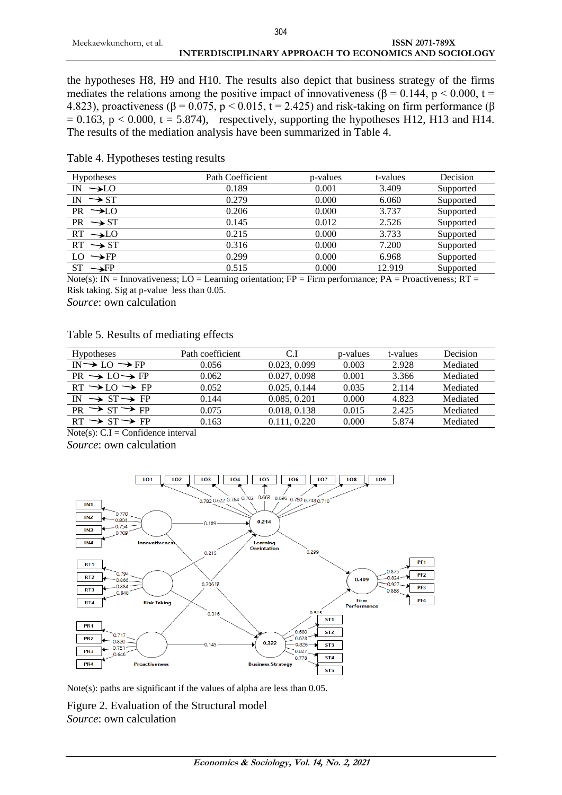the hypotheses H8, H9 and H10. The results also depict that business strategy of the firms mediates the relations among the positive impact of innovativeness ( $\beta$  = 0.144, p < 0.000, t = 4.823), proactiveness ( $\beta$  = 0.075, p < 0.015, t = 2.425) and risk-taking on firm performance ( $\beta$  $= 0.163$ , p < 0.000, t = 5.874), respectively, supporting the hypotheses H12, H13 and H14. The results of the mediation analysis have been summarized in Table 4.

| Hypotheses          | Path Coefficient | p-values | t-values | Decision  |
|---------------------|------------------|----------|----------|-----------|
| $IN \rightarrow LO$ | 0.189            | 0.001    | 3.409    | Supported |
| IN $\rightarrow$ ST | 0.279            | 0.000    | 6.060    | Supported |
| $PR \rightarrow LO$ | 0.206            | 0.000    | 3.737    | Supported |
| $PR \rightarrow ST$ | 0.145            | 0.012    | 2.526    | Supported |
| $RT \rightarrow LO$ | 0.215            | 0.000    | 3.733    | Supported |
| $RT \rightarrow ST$ | 0.316            | 0.000    | 7.200    | Supported |
| $LO \rightarrow FP$ | 0.299            | 0.000    | 6.968    | Supported |
| $ST \rightarrow FP$ | 0.515            | 0.000    | 12.919   | Supported |
|                     |                  |          |          |           |

## Table 4. Hypotheses testing results

Note(s): IN = Innovativeness; LO = Learning orientation; FP = Firm performance; PA = Proactiveness; RT = Risk taking. Sig at p-value less than 0.05.

*Source*: own calculation

## Table 5. Results of mediating effects

| Path coefficient | C.I          | p-values | t-values | <b>Decision</b> |
|------------------|--------------|----------|----------|-----------------|
| 0.056            | 0.023, 0.099 | 0.003    | 2.928    | Mediated        |
| 0.062            | 0.027, 0.098 | 0.001    | 3.366    | Mediated        |
| 0.052            | 0.025, 0.144 | 0.035    | 2.114    | Mediated        |
| 0.144            | 0.085, 0.201 | 0.000    | 4.823    | Mediated        |
| 0.075            | 0.018, 0.138 | 0.015    | 2.425    | Mediated        |
| 0.163            | 0.111, 0.220 | 0.000    | 5.874    | Mediated        |
|                  |              |          |          |                 |

 $Note(s): C.I = Confidence interval$ *Source*: own calculation



Note(s): paths are significant if the values of alpha are less than 0.05.

Figure 2. Evaluation of the Structural model *Source*: own calculation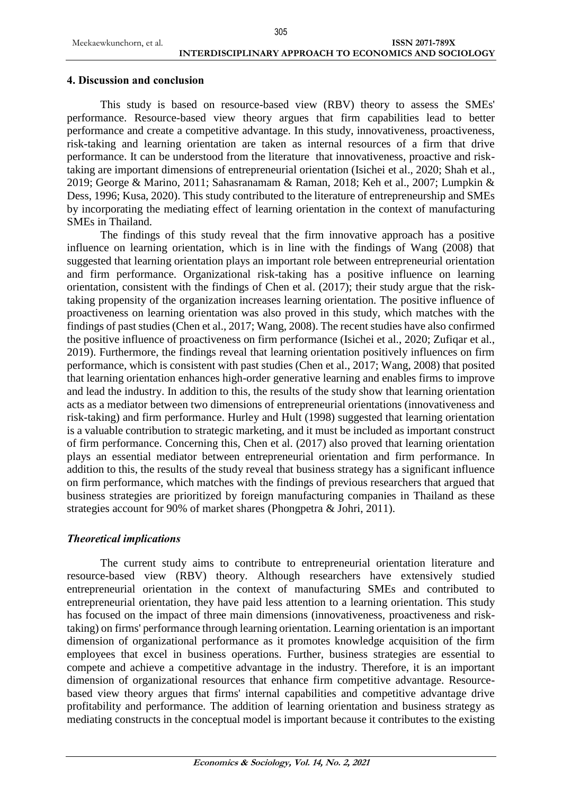## **4. Discussion and conclusion**

This study is based on resource-based view (RBV) theory to assess the SMEs' performance. Resource-based view theory argues that firm capabilities lead to better performance and create a competitive advantage. In this study, innovativeness, proactiveness, risk-taking and learning orientation are taken as internal resources of a firm that drive performance. It can be understood from the literature that innovativeness, proactive and risktaking are important dimensions of entrepreneurial orientation (Isichei et al., 2020; Shah et al., 2019; George & Marino, 2011; Sahasranamam & Raman, 2018; Keh et al., 2007; Lumpkin & Dess, 1996; Kusa, 2020). This study contributed to the literature of entrepreneurship and SMEs by incorporating the mediating effect of learning orientation in the context of manufacturing SMEs in Thailand.

The findings of this study reveal that the firm innovative approach has a positive influence on learning orientation, which is in line with the findings of Wang (2008) that suggested that learning orientation plays an important role between entrepreneurial orientation and firm performance. Organizational risk-taking has a positive influence on learning orientation, consistent with the findings of Chen et al. (2017); their study argue that the risktaking propensity of the organization increases learning orientation. The positive influence of proactiveness on learning orientation was also proved in this study, which matches with the findings of past studies (Chen et al., 2017; Wang, 2008). The recent studies have also confirmed the positive influence of proactiveness on firm performance (Isichei et al., 2020; Zufiqar et al., 2019). Furthermore, the findings reveal that learning orientation positively influences on firm performance, which is consistent with past studies (Chen et al., 2017; Wang, 2008) that posited that learning orientation enhances high-order generative learning and enables firms to improve and lead the industry. In addition to this, the results of the study show that learning orientation acts as a mediator between two dimensions of entrepreneurial orientations (innovativeness and risk-taking) and firm performance. Hurley and Hult (1998) suggested that learning orientation is a valuable contribution to strategic marketing, and it must be included as important construct of firm performance. Concerning this, Chen et al. (2017) also proved that learning orientation plays an essential mediator between entrepreneurial orientation and firm performance. In addition to this, the results of the study reveal that business strategy has a significant influence on firm performance, which matches with the findings of previous researchers that argued that business strategies are prioritized by foreign manufacturing companies in Thailand as these strategies account for 90% of market shares (Phongpetra & Johri, 2011).

### *Theoretical implications*

The current study aims to contribute to entrepreneurial orientation literature and resource-based view (RBV) theory. Although researchers have extensively studied entrepreneurial orientation in the context of manufacturing SMEs and contributed to entrepreneurial orientation, they have paid less attention to a learning orientation. This study has focused on the impact of three main dimensions (innovativeness, proactiveness and risktaking) on firms' performance through learning orientation. Learning orientation is an important dimension of organizational performance as it promotes knowledge acquisition of the firm employees that excel in business operations. Further, business strategies are essential to compete and achieve a competitive advantage in the industry. Therefore, it is an important dimension of organizational resources that enhance firm competitive advantage. Resourcebased view theory argues that firms' internal capabilities and competitive advantage drive profitability and performance. The addition of learning orientation and business strategy as mediating constructs in the conceptual model is important because it contributes to the existing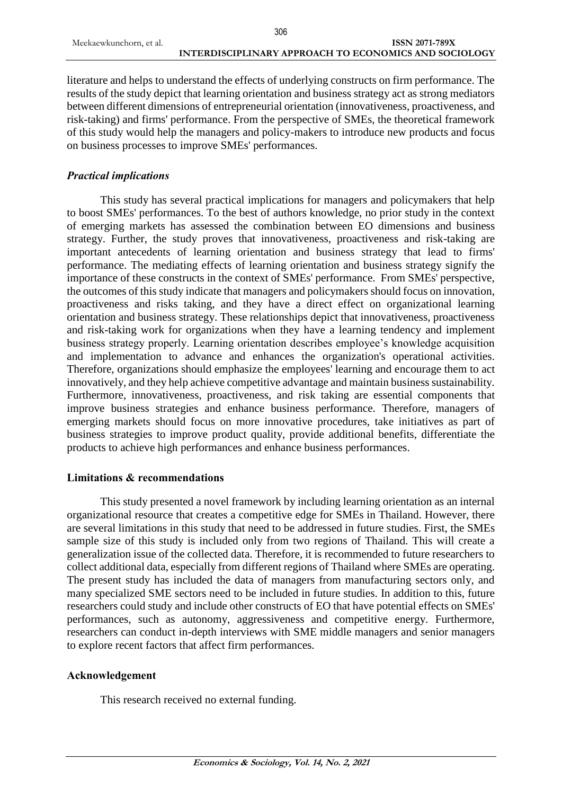literature and helps to understand the effects of underlying constructs on firm performance. The results of the study depict that learning orientation and business strategy act as strong mediators between different dimensions of entrepreneurial orientation (innovativeness, proactiveness, and risk-taking) and firms' performance. From the perspective of SMEs, the theoretical framework of this study would help the managers and policy-makers to introduce new products and focus on business processes to improve SMEs' performances.

## *Practical implications*

This study has several practical implications for managers and policymakers that help to boost SMEs' performances. To the best of authors knowledge, no prior study in the context of emerging markets has assessed the combination between EO dimensions and business strategy. Further, the study proves that innovativeness, proactiveness and risk-taking are important antecedents of learning orientation and business strategy that lead to firms' performance. The mediating effects of learning orientation and business strategy signify the importance of these constructs in the context of SMEs' performance. From SMEs' perspective, the outcomes of this study indicate that managers and policymakers should focus on innovation, proactiveness and risks taking, and they have a direct effect on organizational learning orientation and business strategy. These relationships depict that innovativeness, proactiveness and risk-taking work for organizations when they have a learning tendency and implement business strategy properly. Learning orientation describes employee's knowledge acquisition and implementation to advance and enhances the organization's operational activities. Therefore, organizations should emphasize the employees' learning and encourage them to act innovatively, and they help achieve competitive advantage and maintain business sustainability. Furthermore, innovativeness, proactiveness, and risk taking are essential components that improve business strategies and enhance business performance. Therefore, managers of emerging markets should focus on more innovative procedures, take initiatives as part of business strategies to improve product quality, provide additional benefits, differentiate the products to achieve high performances and enhance business performances.

### **Limitations & recommendations**

This study presented a novel framework by including learning orientation as an internal organizational resource that creates a competitive edge for SMEs in Thailand. However, there are several limitations in this study that need to be addressed in future studies. First, the SMEs sample size of this study is included only from two regions of Thailand. This will create a generalization issue of the collected data. Therefore, it is recommended to future researchers to collect additional data, especially from different regions of Thailand where SMEs are operating. The present study has included the data of managers from manufacturing sectors only, and many specialized SME sectors need to be included in future studies. In addition to this, future researchers could study and include other constructs of EO that have potential effects on SMEs' performances, such as autonomy, aggressiveness and competitive energy. Furthermore, researchers can conduct in-depth interviews with SME middle managers and senior managers to explore recent factors that affect firm performances.

## **Acknowledgement**

This research received no external funding.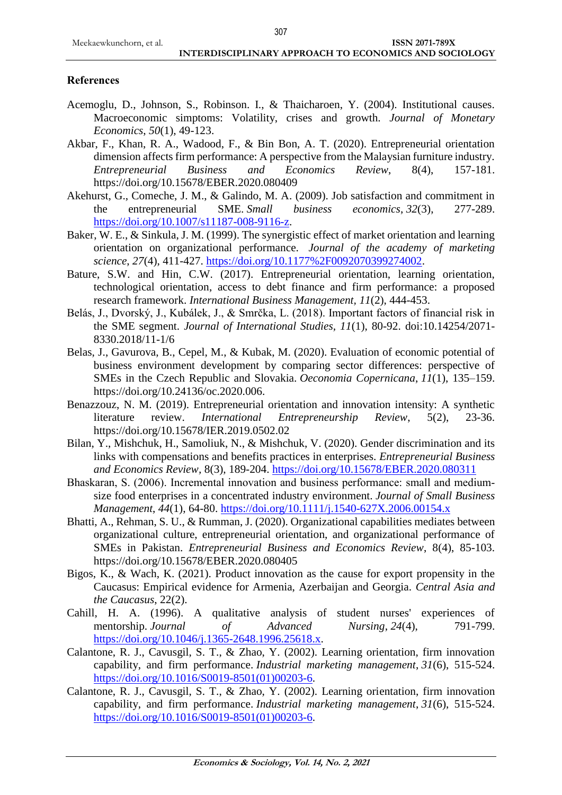### **References**

- Acemoglu, D., Johnson, S., Robinson. I., & Thaicharoen, Y. (2004). Institutional causes. Macroeconomic simptoms: Volatility, crises and growth. *Journal of Monetary Economics*, *50*(1), 49-123.
- Akbar, F., Khan, R. A., Wadood, F., & Bin Bon, A. T. (2020). Entrepreneurial orientation dimension affects firm performance: A perspective from the Malaysian furniture industry. *Entrepreneurial Business and Economics Review*, 8(4), 157-181. https://doi.org/10.15678/EBER.2020.080409
- Akehurst, G., Comeche, J. M., & Galindo, M. A. (2009). Job satisfaction and commitment in the entrepreneurial SME. *Small business economics*, *32*(3), 277-289. [https://doi.org/10.1007/s11187-008-9116-z.](https://doi.org/10.1007/s11187-008-9116-z)
- Baker, W. E., & Sinkula, J. M. (1999). The synergistic effect of market orientation and learning orientation on organizational performance. *Journal of the academy of marketing science*, *27*(4), 411-427. [https://doi.org/10.1177%2F0092070399274002.](https://doi.org/10.1177%2F0092070399274002)
- Bature, S.W. and Hin, C.W. (2017). Entrepreneurial orientation, learning orientation, technological orientation, access to debt finance and firm performance: a proposed research framework. *International Business Management, 11*(2), 444-453.
- Belás, J., Dvorský, J., Kubálek, J., & Smrčka, L. (2018). Important factors of financial risk in the SME segment. *Journal of International Studies, 11*(1), 80-92. doi:10.14254/2071- 8330.2018/11-1/6
- Belas, J., Gavurova, B., Cepel, M., & Kubak, M. (2020). Evaluation of economic potential of business environment development by comparing sector differences: perspective of SMEs in the Czech Republic and Slovakia. *Oeconomia Copernicana*, *11*(1), 135–159. https://doi.org/10.24136/oc.2020.006.
- Benazzouz, N. M. (2019). Entrepreneurial orientation and innovation intensity: A synthetic literature review. *International Entrepreneurship Review*, 5(2), 23-36. https://doi.org/10.15678/IER.2019.0502.02
- Bilan, Y., Mishchuk, H., Samoliuk, N., & Mishchuk, V. (2020). Gender discrimination and its links with compensations and benefits practices in enterprises. *Entrepreneurial Business and Economics Review,* 8(3), 189-204.<https://doi.org/10.15678/EBER.2020.080311>
- Bhaskaran, S. (2006). Incremental innovation and business performance: small and medium‐ size food enterprises in a concentrated industry environment. *Journal of Small Business Management*, *44*(1), 64-80.<https://doi.org/10.1111/j.1540-627X.2006.00154.x>
- Bhatti, A., Rehman, S. U., & Rumman, J. (2020). Organizational capabilities mediates between organizational culture, entrepreneurial orientation, and organizational performance of SMEs in Pakistan. *Entrepreneurial Business and Economics Review*, 8(4), 85-103. https://doi.org/10.15678/EBER.2020.080405
- Bigos, K., & Wach, K. (2021). Product innovation as the cause for export propensity in the Caucasus: Empirical evidence for Armenia, Azerbaijan and Georgia. *Central Asia and the Caucasus*, 22(2).
- Cahill, H. A. (1996). A qualitative analysis of student nurses' experiences of mentorship. *Journal of Advanced Nursing*, *24*(4), 791-799. [https://doi.org/10.1046/j.1365-2648.1996.25618.x.](https://doi.org/10.1046/j.1365-2648.1996.25618.x)
- Calantone, R. J., Cavusgil, S. T., & Zhao, Y. (2002). Learning orientation, firm innovation capability, and firm performance. *Industrial marketing management*, *31*(6), 515-524. [https://doi.org/10.1016/S0019-8501\(01\)00203-6.](https://doi.org/10.1016/S0019-8501(01)00203-6)
- Calantone, R. J., Cavusgil, S. T., & Zhao, Y. (2002). Learning orientation, firm innovation capability, and firm performance. *Industrial marketing management*, *31*(6), 515-524. [https://doi.org/10.1016/S0019-8501\(01\)00203-6.](https://doi.org/10.1016/S0019-8501(01)00203-6)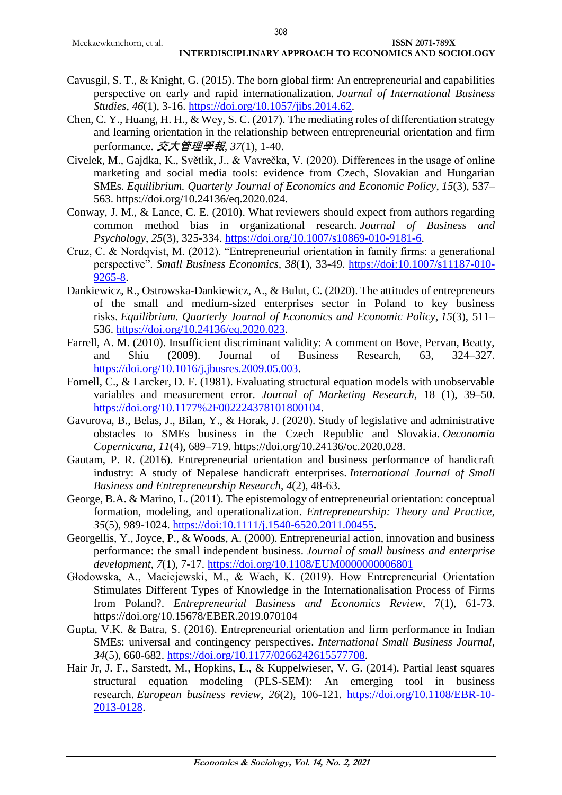- Cavusgil, S. T., & Knight, G. (2015). The born global firm: An entrepreneurial and capabilities perspective on early and rapid internationalization. *Journal of International Business Studies*, *46*(1), 3-16. [https://doi.org/10.1057/jibs.2014.62.](https://doi.org/10.1057/jibs.2014.62)
- Chen, C. Y., Huang, H. H., & Wey, S. C. (2017). The mediating roles of differentiation strategy and learning orientation in the relationship between entrepreneurial orientation and firm performance. 交大管理學報, *37*(1), 1-40.
- Civelek, M., Gajdka, K., Světlík, J., & Vavrečka, V. (2020). Differences in the usage of online marketing and social media tools: evidence from Czech, Slovakian and Hungarian SMEs. *Equilibrium. Quarterly Journal of Economics and Economic Policy*, *15*(3), 537– 563. https://doi.org/10.24136/eq.2020.024.
- Conway, J. M., & Lance, C. E. (2010). What reviewers should expect from authors regarding common method bias in organizational research. *Journal of Business and Psychology*, *25*(3), 325-334. [https://doi.org/10.1007/s10869-010-9181-6.](https://doi.org/10.1007/s10869-010-9181-6)
- Cruz, C. & Nordqvist, M. (2012). "Entrepreneurial orientation in family firms: a generational perspective". *Small Business Economics, 38*(1), 33-49. [https://doi:10.1007/s11187-010-](about:blank) [9265-8.](about:blank)
- Dankiewicz, R., Ostrowska-Dankiewicz, A., & Bulut, C. (2020). The attitudes of entrepreneurs of the small and medium-sized enterprises sector in Poland to key business risks. *Equilibrium. Quarterly Journal of Economics and Economic Policy*, *15*(3), 511– 536. [https://doi.org/10.24136/eq.2020.023.](https://doi.org/10.24136/eq.2020.023)
- Farrell, A. M. (2010). Insufficient discriminant validity: A comment on Bove, Pervan, Beatty, and Shiu (2009). Journal of Business Research, 63, 324–327. [https://doi.org/10.1016/j.jbusres.2009.05.003.](https://doi.org/10.1016/j.jbusres.2009.05.003)
- Fornell, C., & Larcker, D. F. (1981). Evaluating structural equation models with unobservable variables and measurement error. *Journal of Marketing Research,* 18 (1), 39–50. [https://doi.org/10.1177%2F002224378101800104.](https://doi.org/10.1177%2F002224378101800104)
- Gavurova, B., Belas, J., Bilan, Y., & Horak, J. (2020). Study of legislative and administrative obstacles to SMEs business in the Czech Republic and Slovakia. *Oeconomia Copernicana*, *11*(4), 689–719. https://doi.org/10.24136/oc.2020.028.
- Gautam, P. R. (2016). Entrepreneurial orientation and business performance of handicraft industry: A study of Nepalese handicraft enterprises. *International Journal of Small Business and Entrepreneurship Research*, *4*(2), 48-63.
- George, B.A. & Marino, L. (2011). The epistemology of entrepreneurial orientation: conceptual formation, modeling, and operationalization. *Entrepreneurship: Theory and Practice, 35*(5), 989-1024. [https://doi:10.1111/j.1540-6520.2011.00455.](about:blank)
- Georgellis, Y., Joyce, P., & Woods, A. (2000). Entrepreneurial action, innovation and business performance: the small independent business. *Journal of small business and enterprise development*, *7*(1), 7-17. <https://doi.org/10.1108/EUM0000000006801>
- Głodowska, A., Maciejewski, M., & Wach, K. (2019). How Entrepreneurial Orientation Stimulates Different Types of Knowledge in the Internationalisation Process of Firms from Poland?. *Entrepreneurial Business and Economics Review*, 7(1), 61-73. https://doi.org/10.15678/EBER.2019.070104
- Gupta, V.K. & Batra, S. (2016). Entrepreneurial orientation and firm performance in Indian SMEs: universal and contingency perspectives. *International Small Business Journal, 34*(5), 660-682. [https://doi.org/10.1177/0266242615577708.](https://doi.org/10.1177/0266242615577708)
- Hair Jr, J. F., Sarstedt, M., Hopkins, L., & Kuppelwieser, V. G. (2014). Partial least squares structural equation modeling (PLS-SEM): An emerging tool in business research. *European business review*, *26*(2), 106-121. [https://doi.org/10.1108/EBR-10-](https://doi.org/10.1108/EBR-10-2013-0128) [2013-0128.](https://doi.org/10.1108/EBR-10-2013-0128)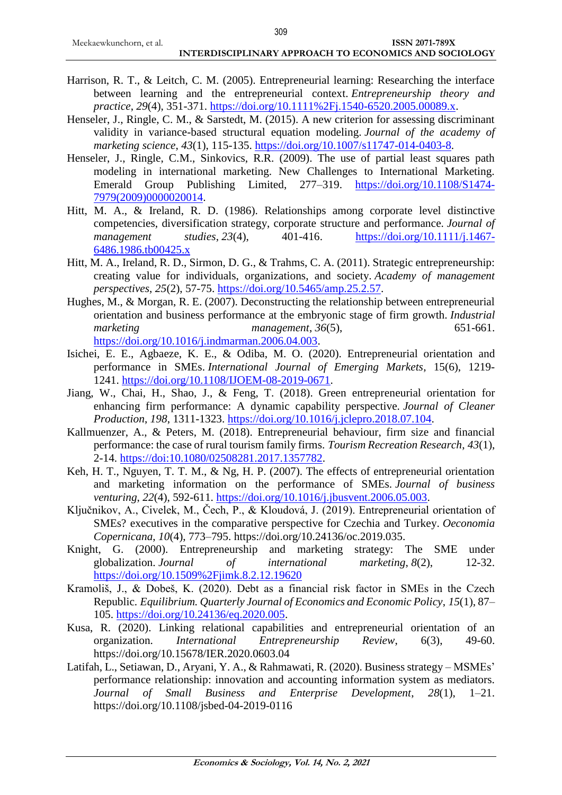#### **INTERDISCIPLINARY APPROACH TO ECONOMICS AND SOCIOLOGY**

- Harrison, R. T., & Leitch, C. M. (2005). Entrepreneurial learning: Researching the interface between learning and the entrepreneurial context. *Entrepreneurship theory and practice*, *29*(4), 351-371. [https://doi.org/10.1111%2Fj.1540-6520.2005.00089.x.](https://doi.org/10.1111%2Fj.1540-6520.2005.00089.x)
- Henseler, J., Ringle, C. M., & Sarstedt, M. (2015). A new criterion for assessing discriminant validity in variance-based structural equation modeling. *Journal of the academy of marketing science*, *43*(1), 115-135. [https://doi.org/10.1007/s11747-014-0403-8.](https://doi.org/10.1007/s11747-014-0403-8)
- Henseler, J., Ringle, C.M., Sinkovics, R.R. (2009). The use of partial least squares path modeling in international marketing. New Challenges to International Marketing. Emerald Group Publishing Limited, 277–319. [https://doi.org/10.1108/S1474-](https://doi.org/10.1108/S1474-7979(2009)0000020014) [7979\(2009\)0000020014.](https://doi.org/10.1108/S1474-7979(2009)0000020014)
- Hitt, M. A., & Ireland, R. D. (1986). Relationships among corporate level distinctive competencies, diversification strategy, corporate structure and performance. *Journal of management studies*, *23*(4), 401-416. [https://doi.org/10.1111/j.1467-](https://doi.org/10.1111/j.1467-6486.1986.tb00425.x) [6486.1986.tb00425.x](https://doi.org/10.1111/j.1467-6486.1986.tb00425.x)
- Hitt, M. A., Ireland, R. D., Sirmon, D. G., & Trahms, C. A. (2011). Strategic entrepreneurship: creating value for individuals, organizations, and society. *Academy of management perspectives*, *25*(2), 57-75. [https://doi.org/10.5465/amp.25.2.57.](https://doi.org/10.5465/amp.25.2.57)
- Hughes, M., & Morgan, R. E. (2007). Deconstructing the relationship between entrepreneurial orientation and business performance at the embryonic stage of firm growth. *Industrial marketing management*, *36*(5), 651-661. [https://doi.org/10.1016/j.indmarman.2006.04.003.](https://doi.org/10.1016/j.indmarman.2006.04.003)
- Isichei, E. E., Agbaeze, K. E., & Odiba, M. O. (2020). Entrepreneurial orientation and performance in SMEs. *International Journal of Emerging Markets*, 15(6), 1219- 1241. [https://doi.org/10.1108/IJOEM-08-2019-0671.](https://doi.org/10.1108/IJOEM-08-2019-0671)
- Jiang, W., Chai, H., Shao, J., & Feng, T. (2018). Green entrepreneurial orientation for enhancing firm performance: A dynamic capability perspective. *Journal of Cleaner Production*, *198*, 1311-1323. [https://doi.org/10.1016/j.jclepro.2018.07.104.](https://doi.org/10.1016/j.jclepro.2018.07.104)
- Kallmuenzer, A., & Peters, M. (2018). Entrepreneurial behaviour, firm size and financial performance: the case of rural tourism family firms. *Tourism Recreation Research*, *43*(1), 2-14. [https://doi:10.1080/02508281.2017.1357782.](about:blank)
- Keh, H. T., Nguyen, T. T. M., & Ng, H. P. (2007). The effects of entrepreneurial orientation and marketing information on the performance of SMEs. *Journal of business venturing*, *22*(4), 592-611. [https://doi.org/10.1016/j.jbusvent.2006.05.003.](https://doi.org/10.1016/j.jbusvent.2006.05.003)
- Ključnikov, A., Civelek, M., Čech, P., & Kloudová, J. (2019). Entrepreneurial orientation of SMEs? executives in the comparative perspective for Czechia and Turkey. *Oeconomia Copernicana*, *10*(4), 773–795. https://doi.org/10.24136/oc.2019.035.
- Knight, G. (2000). Entrepreneurship and marketing strategy: The SME under globalization. *Journal of international marketing*, *8*(2), 12-32. <https://doi.org/10.1509%2Fjimk.8.2.12.19620>
- Kramoliš, J., & Dobeš, K. (2020). Debt as a financial risk factor in SMEs in the Czech Republic. *Equilibrium. Quarterly Journal of Economics and Economic Policy*, *15*(1), 87– 105. [https://doi.org/10.24136/eq.2020.005.](https://doi.org/10.24136/eq.2020.005)
- Kusa, R. (2020). Linking relational capabilities and entrepreneurial orientation of an organization. *International Entrepreneurship Review*, 6(3), 49-60. https://doi.org/10.15678/IER.2020.0603.04
- Latifah, L., Setiawan, D., Aryani, Y. A., & Rahmawati, R. (2020). Business strategy MSMEs' performance relationship: innovation and accounting information system as mediators. *Journal of Small Business and Enterprise Development*, *28*(1), 1–21. https://doi.org/10.1108/jsbed-04-2019-0116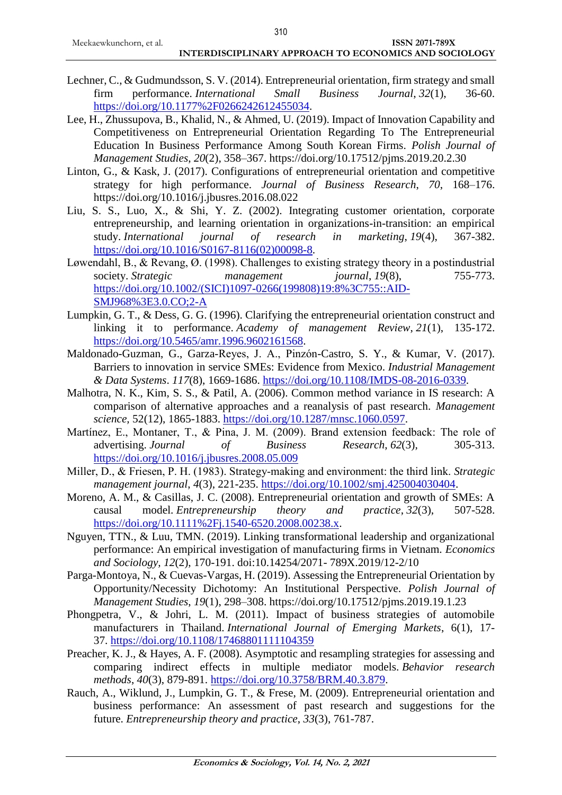#### **INTERDISCIPLINARY APPROACH TO ECONOMICS AND SOCIOLOGY**

- Lechner, C., & Gudmundsson, S. V. (2014). Entrepreneurial orientation, firm strategy and small firm performance. *International Small Business Journal*, *32*(1), 36-60. [https://doi.org/10.1177%2F0266242612455034.](https://doi.org/10.1177%2F0266242612455034)
- Lee, H., Zhussupova, B., Khalid, N., & Ahmed, U. (2019). Impact of Innovation Capability and Competitiveness on Entrepreneurial Orientation Regarding To The Entrepreneurial Education In Business Performance Among South Korean Firms. *Polish Journal of Management Studies*, *20*(2), 358–367. https://doi.org/10.17512/pjms.2019.20.2.30
- Linton, G., & Kask, J. (2017). Configurations of entrepreneurial orientation and competitive strategy for high performance. *Journal of Business Research*, *70*, 168–176. https://doi.org/10.1016/j.jbusres.2016.08.022
- Liu, S. S., Luo, X., & Shi, Y. Z. (2002). Integrating customer orientation, corporate entrepreneurship, and learning orientation in organizations-in-transition: an empirical study. *International journal of research in marketing*, *19*(4), 367-382. [https://doi.org/10.1016/S0167-8116\(02\)00098-8.](https://doi.org/10.1016/S0167-8116(02)00098-8)
- Løwendahl, B., & Revang, Ø. (1998). Challenges to existing strategy theory in a postindustrial society. *Strategic management journal*, *19*(8), 755-773. [https://doi.org/10.1002/\(SICI\)1097-0266\(199808\)19:8%3C755::AID-](https://doi.org/10.1002/(SICI)1097-0266(199808)19:8%3C755::AID-SMJ968%3E3.0.CO;2-A)[SMJ968%3E3.0.CO;2-A](https://doi.org/10.1002/(SICI)1097-0266(199808)19:8%3C755::AID-SMJ968%3E3.0.CO;2-A)
- Lumpkin, G. T., & Dess, G. G. (1996). Clarifying the entrepreneurial orientation construct and linking it to performance. *Academy of management Review*, *21*(1), 135-172. [https://doi.org/10.5465/amr.1996.9602161568.](https://doi.org/10.5465/amr.1996.9602161568)
- Maldonado-Guzman, G., Garza-Reyes, J. A., Pinzón-Castro, S. Y., & Kumar, V. (2017). Barriers to innovation in service SMEs: Evidence from Mexico. *Industrial Management & Data Systems*. *117*(8), 1669-1686. [https://doi.org/10.1108/IMDS-08-2016-0339.](https://doi.org/10.1108/IMDS-08-2016-0339)
- Malhotra, N. K., Kim, S. S., & Patil, A. (2006). Common method variance in IS research: A comparison of alternative approaches and a reanalysis of past research. *Management science,* 52(12), 1865-1883. [https://doi.org/10.1287/mnsc.1060.0597.](https://doi.org/10.1287/mnsc.1060.0597)
- Martínez, E., Montaner, T., & Pina, J. M. (2009). Brand extension feedback: The role of advertising. *Journal of Business Research*, *62*(3), 305-313. <https://doi.org/10.1016/j.jbusres.2008.05.009>
- Miller, D., & Friesen, P. H. (1983). Strategy‐making and environment: the third link. *Strategic management journal*, *4*(3), 221-235. [https://doi.org/10.1002/smj.425004030404.](https://doi.org/10.1002/smj.425004030404)
- Moreno, A. M., & Casillas, J. C. (2008). Entrepreneurial orientation and growth of SMEs: A causal model. *Entrepreneurship theory and practice*, *32*(3), 507-528. [https://doi.org/10.1111%2Fj.1540-6520.2008.00238.x.](https://doi.org/10.1111%2Fj.1540-6520.2008.00238.x)
- Nguyen, TTN., & Luu, TMN. (2019). Linking transformational leadership and organizational performance: An empirical investigation of manufacturing firms in Vietnam. *Economics and Sociology, 12*(2), 170-191. doi:10.14254/2071- 789X.2019/12-2/10
- Parga-Montoya, N., & Cuevas-Vargas, H. (2019). Assessing the Entrepreneurial Orientation by Opportunity/Necessity Dichotomy: An Institutional Perspective. *Polish Journal of Management Studies*, *19*(1), 298–308. https://doi.org/10.17512/pjms.2019.19.1.23
- Phongpetra, V., & Johri, L. M. (2011). Impact of business strategies of automobile manufacturers in Thailand. *International Journal of Emerging Markets*, 6(1), 17- 37. <https://doi.org/10.1108/17468801111104359>
- Preacher, K. J., & Hayes, A. F. (2008). Asymptotic and resampling strategies for assessing and comparing indirect effects in multiple mediator models. *Behavior research methods*, *40*(3), 879-891. [https://doi.org/10.3758/BRM.40.3.879.](https://doi.org/10.3758/BRM.40.3.879)
- Rauch, A., Wiklund, J., Lumpkin, G. T., & Frese, M. (2009). Entrepreneurial orientation and business performance: An assessment of past research and suggestions for the future. *Entrepreneurship theory and practice*, *33*(3), 761-787.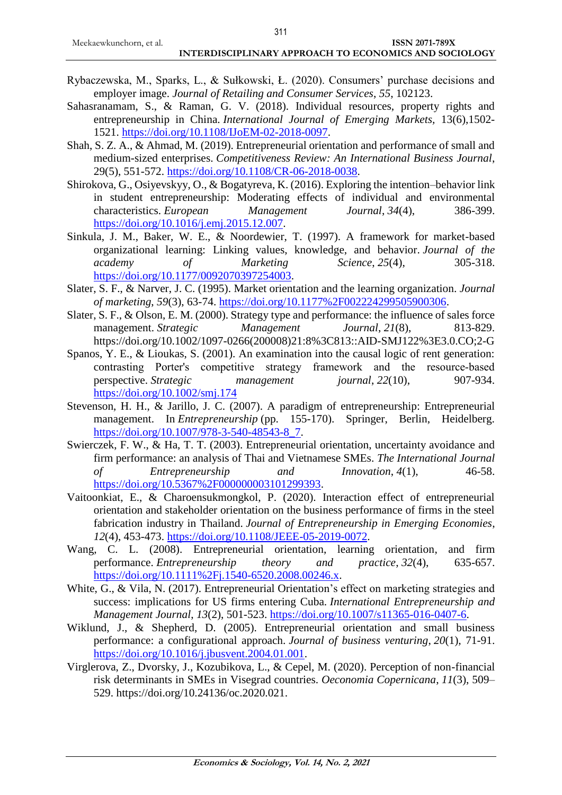- Rybaczewska, M., Sparks, L., & Sułkowski, Ł. (2020). Consumers' purchase decisions and employer image. *Journal of Retailing and Consumer Services*, *55*, 102123.
- Sahasranamam, S., & Raman, G. V. (2018). Individual resources, property rights and entrepreneurship in China. *International Journal of Emerging Markets,* 13(6),1502- 1521. [https://doi.org/10.1108/IJoEM-02-2018-0097.](https://doi.org/10.1108/IJoEM-02-2018-0097)
- Shah, S. Z. A., & Ahmad, M. (2019). Entrepreneurial orientation and performance of small and medium-sized enterprises. *Competitiveness Review: An International Business Journal*, 29(5), 551-572. [https://doi.org/10.1108/CR-06-2018-0038.](https://doi.org/10.1108/CR-06-2018-0038)
- Shirokova, G., Osiyevskyy, O., & Bogatyreva, K. (2016). Exploring the intention–behavior link in student entrepreneurship: Moderating effects of individual and environmental characteristics. *European Management Journal*, *34*(4), 386-399. [https://doi.org/10.1016/j.emj.2015.12.007.](https://doi.org/10.1016/j.emj.2015.12.007)
- Sinkula, J. M., Baker, W. E., & Noordewier, T. (1997). A framework for market-based organizational learning: Linking values, knowledge, and behavior. *Journal of the academy of Marketing Science*, *25*(4), 305-318. [https://doi.org/10.1177/0092070397254003.](https://doi.org/10.1177/0092070397254003)
- Slater, S. F., & Narver, J. C. (1995). Market orientation and the learning organization. *Journal of marketing*, *59*(3), 63-74. [https://doi.org/10.1177%2F002224299505900306.](https://doi.org/10.1177%2F002224299505900306)
- Slater, S. F., & Olson, E. M. (2000). Strategy type and performance: the influence of sales force management. *Strategic Management Journal*, 21(8), 813-829. https://doi.org/10.1002/1097-0266(200008)21:8%3C813::AID-SMJ122%3E3.0.CO;2-G
- Spanos, Y. E., & Lioukas, S. (2001). An examination into the causal logic of rent generation: contrasting Porter's competitive strategy framework and the resource-based perspective. *Strategic management journal*, *22*(10), 907-934. <https://doi.org/10.1002/smj.174>
- Stevenson, H. H., & Jarillo, J. C. (2007). A paradigm of entrepreneurship: Entrepreneurial management. In *Entrepreneurship* (pp. 155-170). Springer, Berlin, Heidelberg. [https://doi.org/10.1007/978-3-540-48543-8\\_7.](https://doi.org/10.1007/978-3-540-48543-8_7)
- Swierczek, F. W., & Ha, T. T. (2003). Entrepreneurial orientation, uncertainty avoidance and firm performance: an analysis of Thai and Vietnamese SMEs. *The International Journal of Entrepreneurship and Innovation*, *4*(1), 46-58. [https://doi.org/10.5367%2F000000003101299393.](https://doi.org/10.5367%2F000000003101299393)
- Vaitoonkiat, E., & Charoensukmongkol, P. (2020). Interaction effect of entrepreneurial orientation and stakeholder orientation on the business performance of firms in the steel fabrication industry in Thailand. *Journal of Entrepreneurship in Emerging Economies*, *12*(4), 453-473. [https://doi.org/10.1108/JEEE-05-2019-0072.](https://doi.org/10.1108/JEEE-05-2019-0072)
- Wang, C. L. (2008). Entrepreneurial orientation, learning orientation, and firm performance. *Entrepreneurship theory and practice*, *32*(4), 635-657. [https://doi.org/10.1111%2Fj.1540-6520.2008.00246.x.](https://doi.org/10.1111%2Fj.1540-6520.2008.00246.x)
- White, G., & Vila, N. (2017). Entrepreneurial Orientation's effect on marketing strategies and success: implications for US firms entering Cuba. *International Entrepreneurship and Management Journal*, *13*(2), 501-523. [https://doi.org/10.1007/s11365-016-0407-6.](https://doi.org/10.1007/s11365-016-0407-6)
- Wiklund, J., & Shepherd, D. (2005). Entrepreneurial orientation and small business performance: a configurational approach. *Journal of business venturing*, *20*(1), 71-91. [https://doi.org/10.1016/j.jbusvent.2004.01.001.](https://doi.org/10.1016/j.jbusvent.2004.01.001)
- Virglerova, Z., Dvorsky, J., Kozubikova, L., & Cepel, M. (2020). Perception of non-financial risk determinants in SMEs in Visegrad countries. *Oeconomia Copernicana*, *11*(3), 509– 529. https://doi.org/10.24136/oc.2020.021.